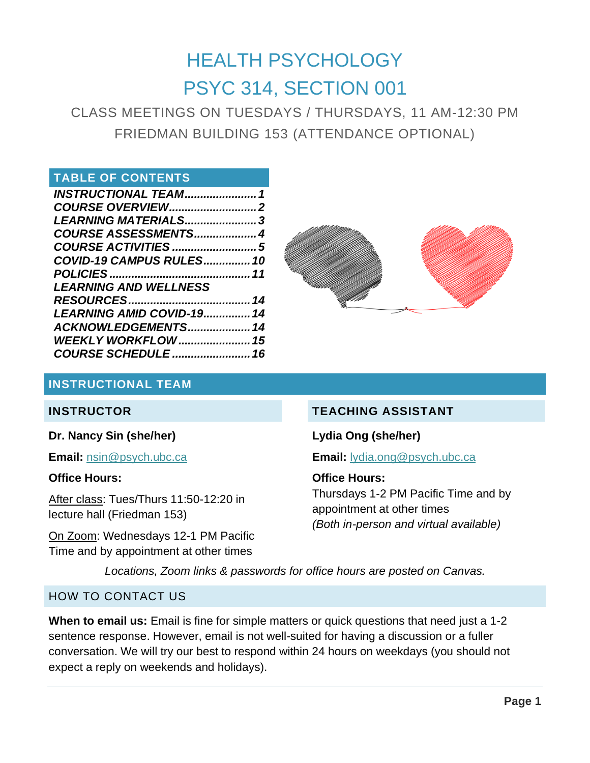# HEALTH PSYCHOLOGY PSYC 314, SECTION 001

CLASS MEETINGS ON TUESDAYS / THURSDAYS, 11 AM-12:30 PM FRIEDMAN BUILDING 153 (ATTENDANCE OPTIONAL)

### **TABLE OF CONTENTS**

| LEARNING MATERIALS3             |  |
|---------------------------------|--|
| COURSE ASSESSMENTS 4            |  |
|                                 |  |
| <b>COVID-19 CAMPUS RULES 10</b> |  |
|                                 |  |
| <b>LEARNING AND WELLNESS</b>    |  |
|                                 |  |
| LEARNING AMID COVID-19 14       |  |
| ACKNOWLEDGEMENTS 14             |  |
|                                 |  |
| <b>COURSE SCHEDULE  16</b>      |  |
|                                 |  |



### <span id="page-0-0"></span>**INSTRUCTIONAL TEAM**

### **INSTRUCTOR**

### **Dr. Nancy Sin (she/her)**

**Email:** [nsin@psych.ubc.ca](mailto:nsin@psych.ubc.ca)

### **Office Hours:**

After class: Tues/Thurs 11:50-12:20 in lecture hall (Friedman 153)

On Zoom: Wednesdays 12-1 PM Pacific Time and by appointment at other times

# **TEACHING ASSISTANT**

**Lydia Ong (she/her)**

**Email:** [lydia.ong@psych.ubc.ca](mailto:lydia.ong@psych.ubc.ca)

### **Office Hours:**

Thursdays 1-2 PM Pacific Time and by appointment at other times *(Both in-person and virtual available)*

*Locations, Zoom links & passwords for office hours are posted on Canvas.*

### HOW TO CONTACT US

**When to email us:** Email is fine for simple matters or quick questions that need just a 1-2 sentence response. However, email is not well-suited for having a discussion or a fuller conversation. We will try our best to respond within 24 hours on weekdays (you should not expect a reply on weekends and holidays).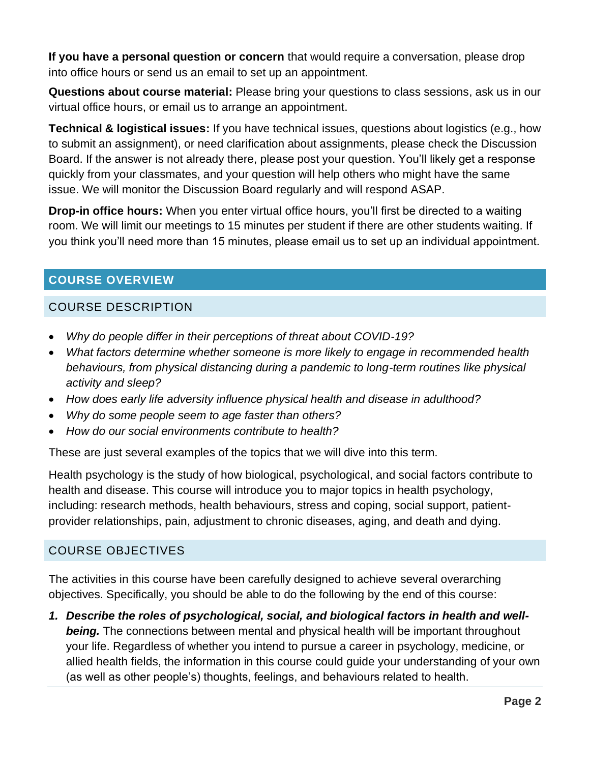**If you have a personal question or concern** that would require a conversation, please drop into office hours or send us an email to set up an appointment.

**Questions about course material:** Please bring your questions to class sessions, ask us in our virtual office hours, or email us to arrange an appointment.

**Technical & logistical issues:** If you have technical issues, questions about logistics (e.g., how to submit an assignment), or need clarification about assignments, please check the Discussion Board. If the answer is not already there, please post your question. You'll likely get a response quickly from your classmates, and your question will help others who might have the same issue. We will monitor the Discussion Board regularly and will respond ASAP.

**Drop-in office hours:** When you enter virtual office hours, you'll first be directed to a waiting room. We will limit our meetings to 15 minutes per student if there are other students waiting. If you think you'll need more than 15 minutes, please email us to set up an individual appointment.

# <span id="page-1-0"></span>**COURSE OVERVIEW**

# COURSE DESCRIPTION

- *Why do people differ in their perceptions of threat about COVID-19?*
- *What factors determine whether someone is more likely to engage in recommended health behaviours, from physical distancing during a pandemic to long-term routines like physical activity and sleep?*
- *How does early life adversity influence physical health and disease in adulthood?*
- *Why do some people seem to age faster than others?*
- *How do our social environments contribute to health?*

These are just several examples of the topics that we will dive into this term.

Health psychology is the study of how biological, psychological, and social factors contribute to health and disease. This course will introduce you to major topics in health psychology, including: research methods, health behaviours, stress and coping, social support, patientprovider relationships, pain, adjustment to chronic diseases, aging, and death and dying.

# COURSE OBJECTIVES

The activities in this course have been carefully designed to achieve several overarching objectives. Specifically, you should be able to do the following by the end of this course:

*1. Describe the roles of psychological, social, and biological factors in health and well***being.** The connections between mental and physical health will be important throughout your life. Regardless of whether you intend to pursue a career in psychology, medicine, or allied health fields, the information in this course could guide your understanding of your own (as well as other people's) thoughts, feelings, and behaviours related to health.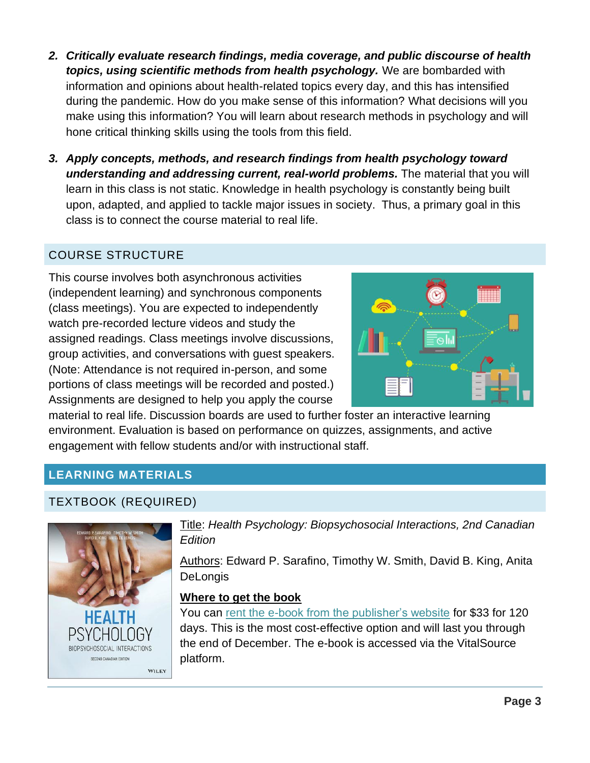- *2. Critically evaluate research findings, media coverage, and public discourse of health topics, using scientific methods from health psychology.* We are bombarded with information and opinions about health-related topics every day, and this has intensified during the pandemic. How do you make sense of this information? What decisions will you make using this information? You will learn about research methods in psychology and will hone critical thinking skills using the tools from this field.
- *3. Apply concepts, methods, and research findings from health psychology toward understanding and addressing current, real-world problems.* The material that you will learn in this class is not static. Knowledge in health psychology is constantly being built upon, adapted, and applied to tackle major issues in society. Thus, a primary goal in this class is to connect the course material to real life.

# COURSE STRUCTURE

This course involves both asynchronous activities (independent learning) and synchronous components (class meetings). You are expected to independently watch pre-recorded lecture videos and study the assigned readings. Class meetings involve discussions, group activities, and conversations with guest speakers. (Note: Attendance is not required in-person, and some portions of class meetings will be recorded and posted.) Assignments are designed to help you apply the course



material to real life. Discussion boards are used to further foster an interactive learning environment. Evaluation is based on performance on quizzes, assignments, and active engagement with fellow students and/or with instructional staff.

# <span id="page-2-0"></span>**LEARNING MATERIALS**

### TEXTBOOK (REQUIRED)



Title: *Health Psychology: Biopsychosocial Interactions, 2nd Canadian Edition*

Authors: Edward P. Sarafino, Timothy W. Smith, David B. King, Anita **DeLongis** 

#### **Where to get the book**

You can [rent the e-book from the publisher's website](https://www.wiley.com/en-ca/Health+Psychology%3A+Biopsychosocial+Interactions%2C+2nd+Canadian+Edition-p-9781119506881) for \$33 for 120 days. This is the most cost-effective option and will last you through the end of December. The e-book is accessed via the VitalSource platform.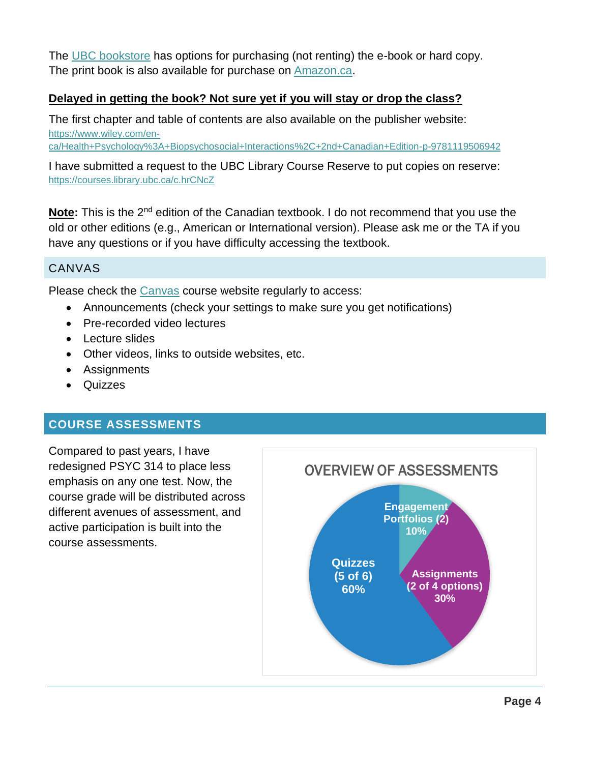The [UBC bookstore](https://shop.bookstore.ubc.ca/courselistbuilder.aspx) has options for purchasing (not renting) the e-book or hard copy. The print book is also available for purchase on [Amazon.ca.](https://www.amazon.ca/gp/product/1119506948/ref=ppx_yo_dt_b_asin_title_o00_s00?ie=UTF8&psc=1)

### **Delayed in getting the book? Not sure yet if you will stay or drop the class?**

The first chapter and table of contents are also available on the publisher website: [https://www.wiley.com/en](https://www.wiley.com/en-ca/Health+Psychology%3A+Biopsychosocial+Interactions%2C+2nd+Canadian+Edition-p-9781119506942)[ca/Health+Psychology%3A+Biopsychosocial+Interactions%2C+2nd+Canadian+Edition-p-9781119506942](https://www.wiley.com/en-ca/Health+Psychology%3A+Biopsychosocial+Interactions%2C+2nd+Canadian+Edition-p-9781119506942)

I have submitted a request to the UBC Library Course Reserve to put copies on reserve: <https://courses.library.ubc.ca/c.hrCNcZ>

**Note:** This is the 2<sup>nd</sup> edition of the Canadian textbook. I do not recommend that you use the old or other editions (e.g., American or International version). Please ask me or the TA if you have any questions or if you have difficulty accessing the textbook.

### CANVAS

Please check the [Canvas](https://canvas.ubc.ca/) course website regularly to access:

- Announcements (check your settings to make sure you get notifications)
- Pre-recorded video lectures
- Lecture slides
- Other videos, links to outside websites, etc.
- Assignments
- Quizzes

### <span id="page-3-0"></span>**COURSE ASSESSMENTS**

Compared to past years, I have redesigned PSYC 314 to place less emphasis on any one test. Now, the course grade will be distributed across different avenues of assessment, and active participation is built into the course assessments.

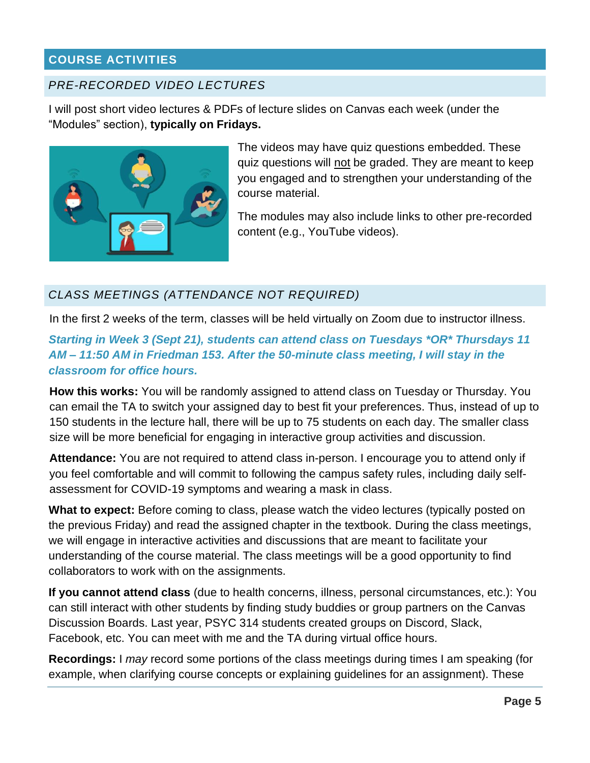# <span id="page-4-0"></span>**COURSE ACTIVITIES**

# *PRE-RECORDED VIDEO LECTURES*

I will post short video lectures & PDFs of lecture slides on Canvas each week (under the "Modules" section), **typically on Fridays.**



The videos may have quiz questions embedded. These quiz questions will not be graded. They are meant to keep you engaged and to strengthen your understanding of the course material.

The modules may also include links to other pre-recorded content (e.g., YouTube videos).

# *CLASS MEETINGS (ATTENDANCE NOT REQUIRED)*

In the first 2 weeks of the term, classes will be held virtually on Zoom due to instructor illness.

# *Starting in Week 3 (Sept 21), students can attend class on Tuesdays \*OR\* Thursdays 11 AM – 11:50 AM in Friedman 153. After the 50-minute class meeting, I will stay in the classroom for office hours.*

**How this works:** You will be randomly assigned to attend class on Tuesday or Thursday. You can email the TA to switch your assigned day to best fit your preferences. Thus, instead of up to 150 students in the lecture hall, there will be up to 75 students on each day. The smaller class size will be more beneficial for engaging in interactive group activities and discussion.

**Attendance:** You are not required to attend class in-person. I encourage you to attend only if you feel comfortable and will commit to following the campus safety rules, including daily selfassessment for COVID-19 symptoms and wearing a mask in class.

**What to expect:** Before coming to class, please watch the video lectures (typically posted on the previous Friday) and read the assigned chapter in the textbook. During the class meetings, we will engage in interactive activities and discussions that are meant to facilitate your understanding of the course material. The class meetings will be a good opportunity to find collaborators to work with on the assignments.

**If you cannot attend class** (due to health concerns, illness, personal circumstances, etc.): You can still interact with other students by finding study buddies or group partners on the Canvas Discussion Boards. Last year, PSYC 314 students created groups on Discord, Slack, Facebook, etc. You can meet with me and the TA during virtual office hours.

**Recordings:** I *may* record some portions of the class meetings during times I am speaking (for example, when clarifying course concepts or explaining guidelines for an assignment). These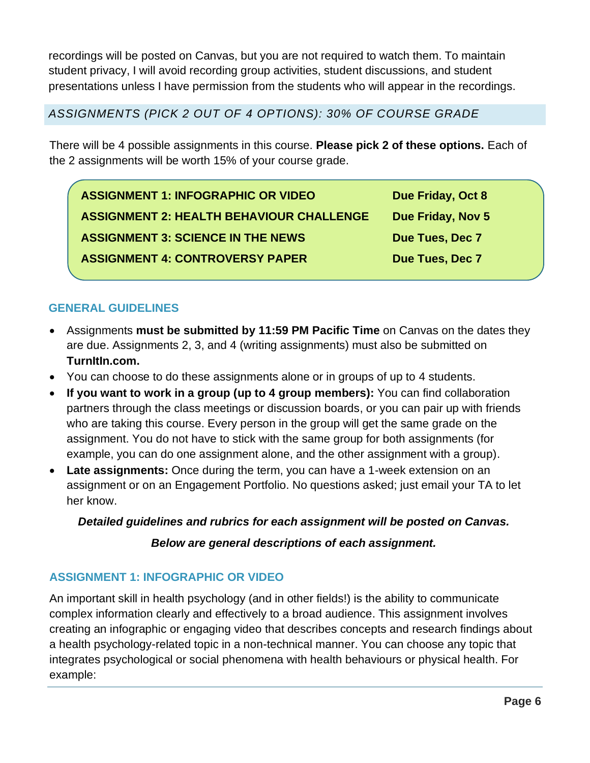recordings will be posted on Canvas, but you are not required to watch them. To maintain student privacy, I will avoid recording group activities, student discussions, and student presentations unless I have permission from the students who will appear in the recordings.

*ASSIGNMENTS (PICK 2 OUT OF 4 OPTIONS): 30% OF COURSE GRADE*

There will be 4 possible assignments in this course. **Please pick 2 of these options.** Each of the 2 assignments will be worth 15% of your course grade.

**ASSIGNMENT 1: INFOGRAPHIC OR VIDEO Due Friday, Oct 8 ASSIGNMENT 2: HEALTH BEHAVIOUR CHALLENGE Due Friday, Nov 5 ASSIGNMENT 3: SCIENCE IN THE NEWS DUE TUES, Dec 7 ASSIGNMENT 4: CONTROVERSY PAPER Due Tues, Dec 7** 

# **GENERAL GUIDELINES**

- Assignments **must be submitted by 11:59 PM Pacific Time** on Canvas on the dates they are due. Assignments 2, 3, and 4 (writing assignments) must also be submitted on **TurnItIn.com.**
- You can choose to do these assignments alone or in groups of up to 4 students.
- **If you want to work in a group (up to 4 group members):** You can find collaboration partners through the class meetings or discussion boards, or you can pair up with friends who are taking this course. Every person in the group will get the same grade on the assignment. You do not have to stick with the same group for both assignments (for example, you can do one assignment alone, and the other assignment with a group).
- **Late assignments:** Once during the term, you can have a 1-week extension on an assignment or on an Engagement Portfolio. No questions asked; just email your TA to let her know.

# *Detailed guidelines and rubrics for each assignment will be posted on Canvas.*

### *Below are general descriptions of each assignment.*

# **ASSIGNMENT 1: INFOGRAPHIC OR VIDEO**

An important skill in health psychology (and in other fields!) is the ability to communicate complex information clearly and effectively to a broad audience. This assignment involves creating an infographic or engaging video that describes concepts and research findings about a health psychology-related topic in a non-technical manner. You can choose any topic that integrates psychological or social phenomena with health behaviours or physical health. For example: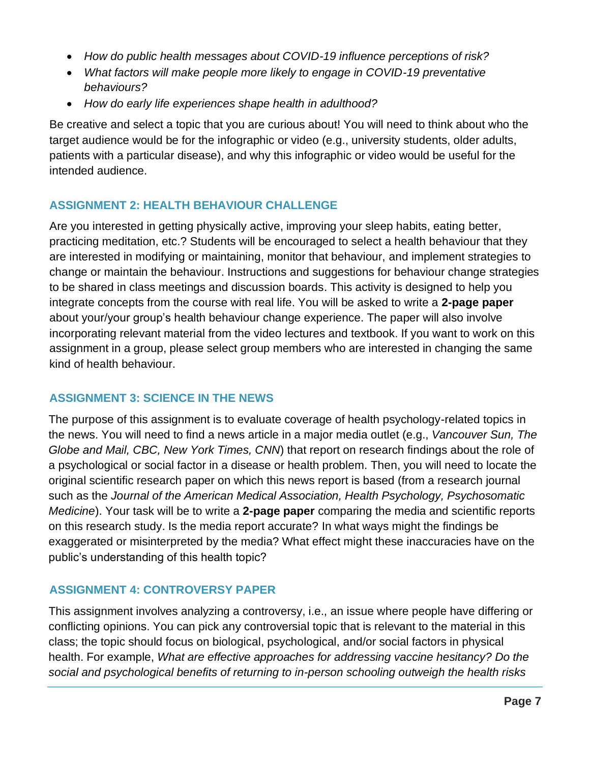- *How do public health messages about COVID-19 influence perceptions of risk?*
- *What factors will make people more likely to engage in COVID-19 preventative behaviours?*
- *How do early life experiences shape health in adulthood?*

Be creative and select a topic that you are curious about! You will need to think about who the target audience would be for the infographic or video (e.g., university students, older adults, patients with a particular disease), and why this infographic or video would be useful for the intended audience.

### **ASSIGNMENT 2: HEALTH BEHAVIOUR CHALLENGE**

Are you interested in getting physically active, improving your sleep habits, eating better, practicing meditation, etc.? Students will be encouraged to select a health behaviour that they are interested in modifying or maintaining, monitor that behaviour, and implement strategies to change or maintain the behaviour. Instructions and suggestions for behaviour change strategies to be shared in class meetings and discussion boards. This activity is designed to help you integrate concepts from the course with real life. You will be asked to write a **2-page paper** about your/your group's health behaviour change experience. The paper will also involve incorporating relevant material from the video lectures and textbook. If you want to work on this assignment in a group, please select group members who are interested in changing the same kind of health behaviour.

### **ASSIGNMENT 3: SCIENCE IN THE NEWS**

The purpose of this assignment is to evaluate coverage of health psychology-related topics in the news. You will need to find a news article in a major media outlet (e.g., *Vancouver Sun, The Globe and Mail, CBC, New York Times, CNN*) that report on research findings about the role of a psychological or social factor in a disease or health problem. Then, you will need to locate the original scientific research paper on which this news report is based (from a research journal such as the *Journal of the American Medical Association, Health Psychology, Psychosomatic Medicine*). Your task will be to write a **2-page paper** comparing the media and scientific reports on this research study. Is the media report accurate? In what ways might the findings be exaggerated or misinterpreted by the media? What effect might these inaccuracies have on the public's understanding of this health topic?

### **ASSIGNMENT 4: CONTROVERSY PAPER**

This assignment involves analyzing a controversy, i.e., an issue where people have differing or conflicting opinions. You can pick any controversial topic that is relevant to the material in this class; the topic should focus on biological, psychological, and/or social factors in physical health. For example, *What are effective approaches for addressing vaccine hesitancy? Do the social and psychological benefits of returning to in-person schooling outweigh the health risks*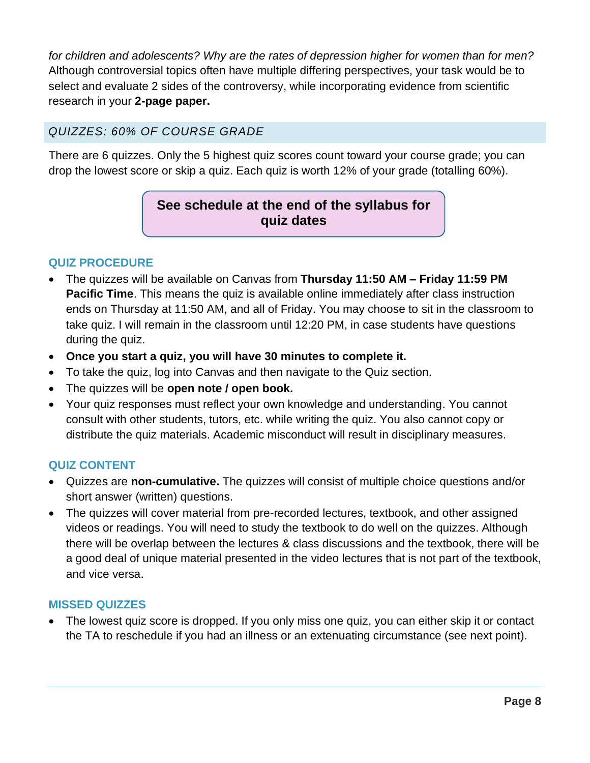*for children and adolescents? Why are the rates of depression higher for women than for men?* Although controversial topics often have multiple differing perspectives, your task would be to select and evaluate 2 sides of the controversy, while incorporating evidence from scientific research in your **2-page paper.**

# *QUIZZES: 60% OF COURSE GRADE*

There are 6 quizzes. Only the 5 highest quiz scores count toward your course grade; you can drop the lowest score or skip a quiz. Each quiz is worth 12% of your grade (totalling 60%).

# **See schedule at the end of the syllabus for quiz dates**

### **QUIZ PROCEDURE**

- The quizzes will be available on Canvas from **Thursday 11:50 AM – Friday 11:59 PM Pacific Time**. This means the quiz is available online immediately after class instruction ends on Thursday at 11:50 AM, and all of Friday. You may choose to sit in the classroom to take quiz. I will remain in the classroom until 12:20 PM, in case students have questions during the quiz.
- **Once you start a quiz, you will have 30 minutes to complete it.**
- To take the quiz, log into Canvas and then navigate to the Quiz section.
- The quizzes will be **open note / open book.**
- Your quiz responses must reflect your own knowledge and understanding. You cannot consult with other students, tutors, etc. while writing the quiz. You also cannot copy or distribute the quiz materials. Academic misconduct will result in disciplinary measures.

### **QUIZ CONTENT**

- Quizzes are **non-cumulative.** The quizzes will consist of multiple choice questions and/or short answer (written) questions.
- The quizzes will cover material from pre-recorded lectures, textbook, and other assigned videos or readings. You will need to study the textbook to do well on the quizzes. Although there will be overlap between the lectures & class discussions and the textbook, there will be a good deal of unique material presented in the video lectures that is not part of the textbook, and vice versa.

### **MISSED QUIZZES**

• The lowest quiz score is dropped. If you only miss one quiz, you can either skip it or contact the TA to reschedule if you had an illness or an extenuating circumstance (see next point).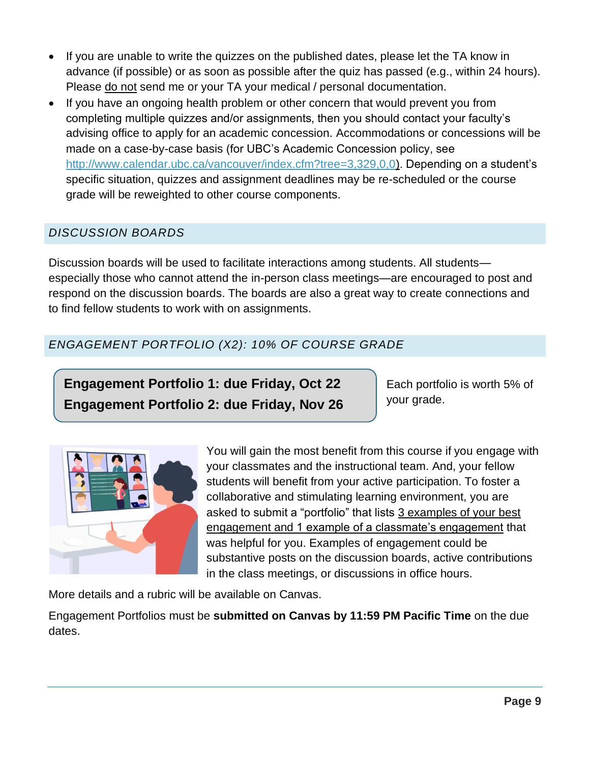- If you are unable to write the quizzes on the published dates, please let the TA know in advance (if possible) or as soon as possible after the quiz has passed (e.g., within 24 hours). Please do not send me or your TA your medical / personal documentation.
- If you have an ongoing health problem or other concern that would prevent you from completing multiple quizzes and/or assignments, then you should contact your faculty's advising office to apply for an academic concession. Accommodations or concessions will be made on a case-by-case basis (for UBC's Academic Concession policy, see [http://www.calendar.ubc.ca/vancouver/index.cfm?tree=3,329,0,0\)](http://www.calendar.ubc.ca/vancouver/index.cfm?tree=3,329,0,0). Depending on a student's specific situation, quizzes and assignment deadlines may be re-scheduled or the course grade will be reweighted to other course components.

# *DISCUSSION BOARDS*

Discussion boards will be used to facilitate interactions among students. All students especially those who cannot attend the in-person class meetings—are encouraged to post and respond on the discussion boards. The boards are also a great way to create connections and to find fellow students to work with on assignments.

# *ENGAGEMENT PORTFOLIO (X2): 10% OF COURSE GRADE*

**Engagement Portfolio 1: due Friday, Oct 22 Engagement Portfolio 2: due Friday, Nov 26**

Each portfolio is worth 5% of your grade.



You will gain the most benefit from this course if you engage with your classmates and the instructional team. And, your fellow students will benefit from your active participation. To foster a collaborative and stimulating learning environment, you are asked to submit a "portfolio" that lists 3 examples of your best engagement and 1 example of a classmate's engagement that was helpful for you. Examples of engagement could be substantive posts on the discussion boards, active contributions in the class meetings, or discussions in office hours.

More details and a rubric will be available on Canvas.

Engagement Portfolios must be **submitted on Canvas by 11:59 PM Pacific Time** on the due dates.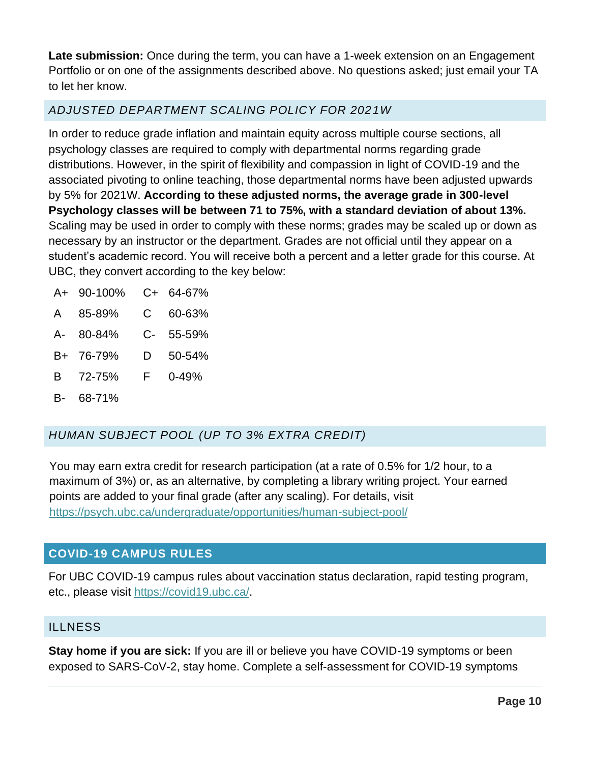**Late submission:** Once during the term, you can have a 1-week extension on an Engagement Portfolio or on one of the assignments described above. No questions asked; just email your TA to let her know.

# *ADJUSTED DEPARTMENT SCALING POLICY FOR 2021W*

In order to reduce grade inflation and maintain equity across multiple course sections, all psychology classes are required to comply with departmental norms regarding grade distributions. However, in the spirit of flexibility and compassion in light of COVID-19 and the associated pivoting to online teaching, those departmental norms have been adjusted upwards by 5% for 2021W. **According to these adjusted norms, the average grade in 300-level Psychology classes will be between 71 to 75%, with a standard deviation of about 13%.** Scaling may be used in order to comply with these norms; grades may be scaled up or down as necessary by an instructor or the department. Grades are not official until they appear on a student's academic record. You will receive both a percent and a letter grade for this course. At UBC, they convert according to the key below:

| $A+$ | 90-100%   | C+ | 64-67%     |
|------|-----------|----|------------|
|      | A 85-89%  |    | $C$ 60-63% |
|      | A- 80-84% |    | C- 55-59%  |
| B+   | 76-79%    | D  | 50-54%     |
|      | B 72-75%  | F. | $0 - 49%$  |
| B- I | 68-71%    |    |            |

# *HUMAN SUBJECT POOL (UP TO 3% EXTRA CREDIT)*

You may earn extra credit for research participation (at a rate of 0.5% for 1/2 hour, to a maximum of 3%) or, as an alternative, by completing a library writing project. Your earned points are added to your final grade (after any scaling). For details, visit <https://psych.ubc.ca/undergraduate/opportunities/human-subject-pool/>

# <span id="page-9-0"></span>**COVID-19 CAMPUS RULES**

For UBC COVID-19 campus rules about vaccination status declaration, rapid testing program, etc., please visit [https://covid19.ubc.ca/.](https://covid19.ubc.ca/)

### **ILLNESS**

**Stay home if you are sick:** If you are ill or believe you have COVID-19 symptoms or been exposed to SARS-CoV-2, stay home. Complete a self-assessment for COVID-19 symptoms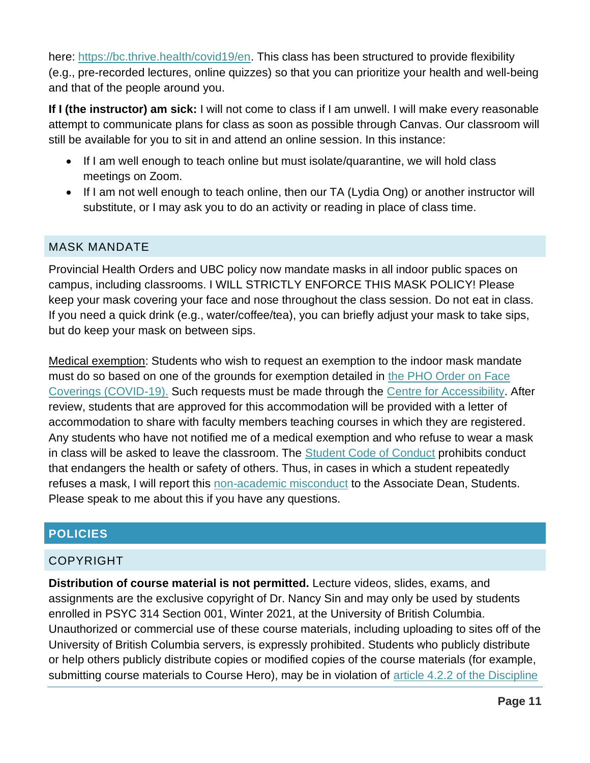here: [https://bc.thrive.health/covid19/en.](https://bc.thrive.health/covid19/en) This class has been structured to provide flexibility (e.g., pre-recorded lectures, online quizzes) so that you can prioritize your health and well-being and that of the people around you.

**If I (the instructor) am sick:** I will not come to class if I am unwell. I will make every reasonable attempt to communicate plans for class as soon as possible through Canvas. Our classroom will still be available for you to sit in and attend an online session. In this instance:

- If I am well enough to teach online but must isolate/quarantine, we will hold class meetings on Zoom.
- If I am not well enough to teach online, then our TA (Lydia Ong) or another instructor will substitute, or I may ask you to do an activity or reading in place of class time.

### MASK MANDATE

Provincial Health Orders and UBC policy now mandate masks in all indoor public spaces on campus, including classrooms. I WILL STRICTLY ENFORCE THIS MASK POLICY! Please keep your mask covering your face and nose throughout the class session. Do not eat in class. If you need a quick drink (e.g., water/coffee/tea), you can briefly adjust your mask to take sips, but do keep your mask on between sips.

Medical exemption: Students who wish to request an exemption to the indoor mask mandate must do so based on one of the grounds for exemption detailed in [the PHO Order on Face](https://www2.gov.bc.ca/assets/gov/health/about-bc-s-health-care-system/office-of-the-provincial-health-officer/covid-19/covid-19-pho-order-face-coverings.pdf)  [Coverings \(COVID-19\).](https://www2.gov.bc.ca/assets/gov/health/about-bc-s-health-care-system/office-of-the-provincial-health-officer/covid-19/covid-19-pho-order-face-coverings.pdf) Such requests must be made through the [Centre for Accessibility.](https://students.ubc.ca/about-student-services/centre-for-accessibility) After review, students that are approved for this accommodation will be provided with a letter of accommodation to share with faculty members teaching courses in which they are registered. Any students who have not notified me of a medical exemption and who refuse to wear a mask in class will be asked to leave the classroom. The [Student Code of Conduct](https://students.ubc.ca/campus-life/student-code-conduct) prohibits conduct that endangers the health or safety of others. Thus, in cases in which a student repeatedly refuses a mask, I will report this [non-academic misconduct](http://www.calendar.ubc.ca/vancouver/index.cfm?tree=3,54,750,0) to the Associate Dean, Students. Please speak to me about this if you have any questions.

# <span id="page-10-0"></span>**POLICIES**

### COPYRIGHT

**Distribution of course material is not permitted.** Lecture videos, slides, exams, and assignments are the exclusive copyright of Dr. Nancy Sin and may only be used by students enrolled in PSYC 314 Section 001, Winter 2021, at the University of British Columbia. Unauthorized or commercial use of these course materials, including uploading to sites off of the University of British Columbia servers, is expressly prohibited. Students who publicly distribute or help others publicly distribute copies or modified copies of the course materials (for example, submitting course materials to Course Hero), may be in violation of article 4.2.2 of the Discipline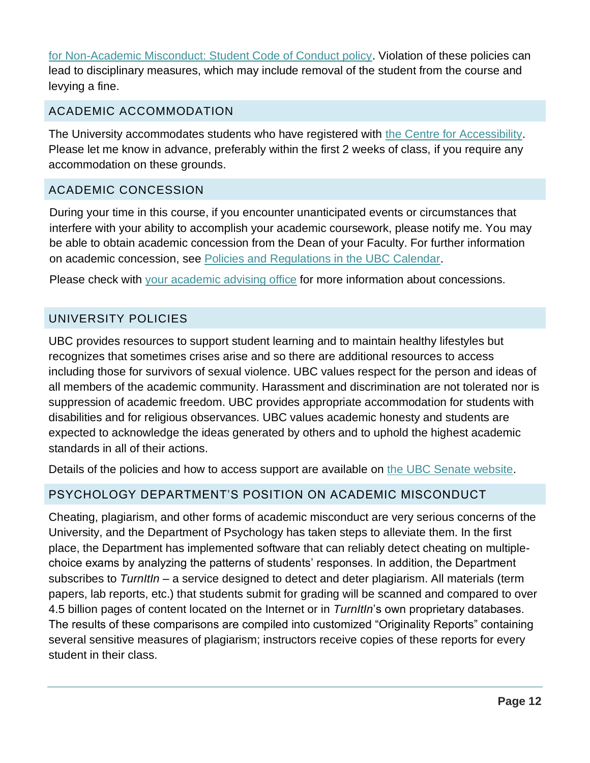[for Non-Academic Misconduct: Student Code of Conduct policy.](http://www.calendar.ubc.ca/vancouver/index.cfm?tree=3,54,750,0#19702) Violation of these policies can lead to disciplinary measures, which may include removal of the student from the course and levying a fine.

### ACADEMIC ACCOMMODATION

The University accommodates students who have registered with [the Centre for Accessibility.](http://students.ubc.ca/about/access) Please let me know in advance, preferably within the first 2 weeks of class, if you require any accommodation on these grounds.

# ACADEMIC CONCESSION

During your time in this course, if you encounter unanticipated events or circumstances that interfere with your ability to accomplish your academic coursework, please notify me. You may be able to obtain academic concession from the Dean of your Faculty. For further information on academic concession, see [Policies and Regulations in the UBC Calendar.](http://www.calendar.ubc.ca/vancouver/index.cfm?tree=3,329,0,0)

Please check with [your academic advising office](https://students.ubc.ca/enrolment/academic-learning-resources/academic-concessions) for more information about concessions.

# UNIVERSITY POLICIES

UBC provides resources to support student learning and to maintain healthy lifestyles but recognizes that sometimes crises arise and so there are additional resources to access including those for survivors of sexual violence. UBC values respect for the person and ideas of all members of the academic community. Harassment and discrimination are not tolerated nor is suppression of academic freedom. UBC provides appropriate accommodation for students with disabilities and for religious observances. UBC values academic honesty and students are expected to acknowledge the ideas generated by others and to uphold the highest academic standards in all of their actions.

Details of the policies and how to access support are available on [the UBC Senate website.](https://senate.ubc.ca/policies-resources-support-student-success)

# PSYCHOLOGY DEPARTMENT'S POSITION ON ACADEMIC MISCONDUCT

Cheating, plagiarism, and other forms of academic misconduct are very serious concerns of the University, and the Department of Psychology has taken steps to alleviate them. In the first place, the Department has implemented software that can reliably detect cheating on multiplechoice exams by analyzing the patterns of students' responses. In addition, the Department subscribes to *TurnItIn* – a service designed to detect and deter plagiarism. All materials (term papers, lab reports, etc.) that students submit for grading will be scanned and compared to over 4.5 billion pages of content located on the Internet or in *TurnItIn*'s own proprietary databases. The results of these comparisons are compiled into customized "Originality Reports" containing several sensitive measures of plagiarism; instructors receive copies of these reports for every student in their class.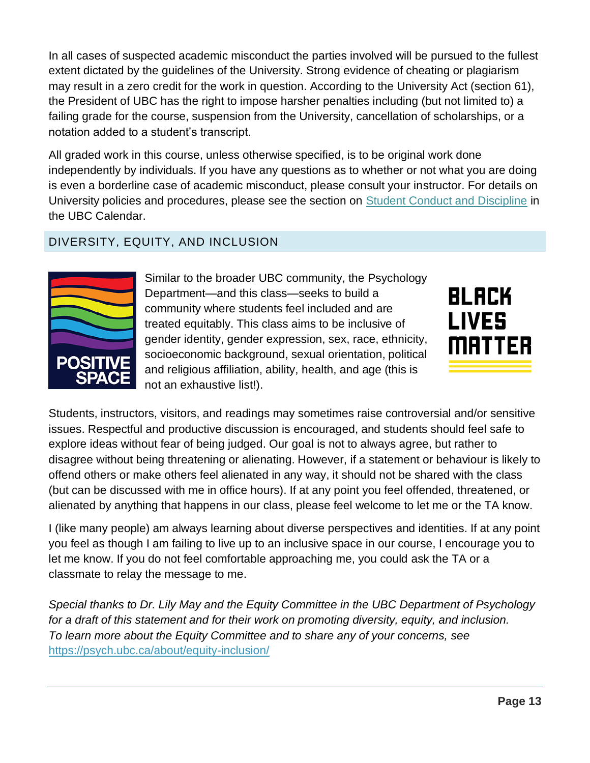In all cases of suspected academic misconduct the parties involved will be pursued to the fullest extent dictated by the guidelines of the University. Strong evidence of cheating or plagiarism may result in a zero credit for the work in question. According to the University Act (section 61), the President of UBC has the right to impose harsher penalties including (but not limited to) a failing grade for the course, suspension from the University, cancellation of scholarships, or a notation added to a student's transcript.

All graded work in this course, unless otherwise specified, is to be original work done independently by individuals. If you have any questions as to whether or not what you are doing is even a borderline case of academic misconduct, please consult your instructor. For details on University policies and procedures, please see the section on [Student Conduct and Discipline](http://www.calendar.ubc.ca/vancouver/index.cfm?tree=3,54,0,0) in the UBC Calendar.

# DIVERSITY, EQUITY, AND INCLUSION



Similar to the broader UBC community, the Psychology Department—and this class—seeks to build a community where students feel included and are treated equitably. This class aims to be inclusive of gender identity, gender expression, sex, race, ethnicity, socioeconomic background, sexual orientation, political and religious affiliation, ability, health, and age (this is not an exhaustive list!).



Students, instructors, visitors, and readings may sometimes raise controversial and/or sensitive issues. Respectful and productive discussion is encouraged, and students should feel safe to explore ideas without fear of being judged. Our goal is not to always agree, but rather to disagree without being threatening or alienating. However, if a statement or behaviour is likely to offend others or make others feel alienated in any way, it should not be shared with the class (but can be discussed with me in office hours). If at any point you feel offended, threatened, or alienated by anything that happens in our class, please feel welcome to let me or the TA know.

I (like many people) am always learning about diverse perspectives and identities. If at any point you feel as though I am failing to live up to an inclusive space in our course, I encourage you to let me know. If you do not feel comfortable approaching me, you could ask the TA or a classmate to relay the message to me.

*Special thanks to Dr. Lily May and the Equity Committee in the UBC Department of Psychology*  for a draft of this statement and for their work on promoting diversity, equity, and inclusion. *To learn more about the Equity Committee and to share any of your concerns, see*  <https://psych.ubc.ca/about/equity-inclusion/>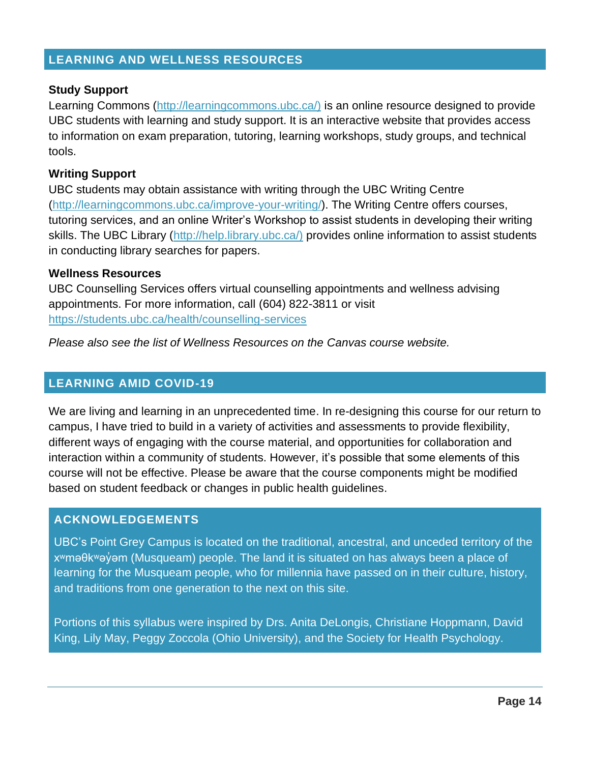### <span id="page-13-0"></span>**LEARNING AND WELLNESS RESOURCES**

### **Study Support**

Learning Commons [\(http://learningcommons.ubc.ca/\)](http://learningcommons.ubc.ca/)) is an online resource designed to provide UBC students with learning and study support. It is an interactive website that provides access to information on exam preparation, tutoring, learning workshops, study groups, and technical tools.

#### **Writing Support**

UBC students may obtain assistance with writing through the UBC Writing Centre [\(http://learningcommons.ubc.ca/improve-your-writing/\)](http://learningcommons.ubc.ca/improve-your-writing/). The Writing Centre offers courses, tutoring services, and an online Writer's Workshop to assist students in developing their writing skills. The UBC Library [\(http://help.library.ubc.ca/\)](http://help.library.ubc.ca/)) provides online information to assist students in conducting library searches for papers.

#### **Wellness Resources**

UBC Counselling Services offers virtual counselling appointments and wellness advising appointments. For more information, call (604) 822-3811 or visit <https://students.ubc.ca/health/counselling-services>

*Please also see the list of Wellness Resources on the Canvas course website.*

### <span id="page-13-1"></span>**LEARNING AMID COVID-19**

We are living and learning in an unprecedented time. In re-designing this course for our return to campus, I have tried to build in a variety of activities and assessments to provide flexibility, different ways of engaging with the course material, and opportunities for collaboration and interaction within a community of students. However, it's possible that some elements of this course will not be effective. Please be aware that the course components might be modified based on student feedback or changes in public health guidelines.

### <span id="page-13-2"></span>**ACKNOWLEDGEMENTS**

UBC's Point Grey Campus is located on the traditional, ancestral, and unceded territory of the x<sup>w</sup>məθk<sup>w</sup>əy'əm (Musqueam) people. The land it is situated on has always been a place of learning for the Musqueam people, who for millennia have passed on in their culture, history, and traditions from one generation to the next on this site.

Portions of this syllabus were inspired by Drs. Anita DeLongis, Christiane Hoppmann, David King, Lily May, Peggy Zoccola (Ohio University), and the Society for Health Psychology.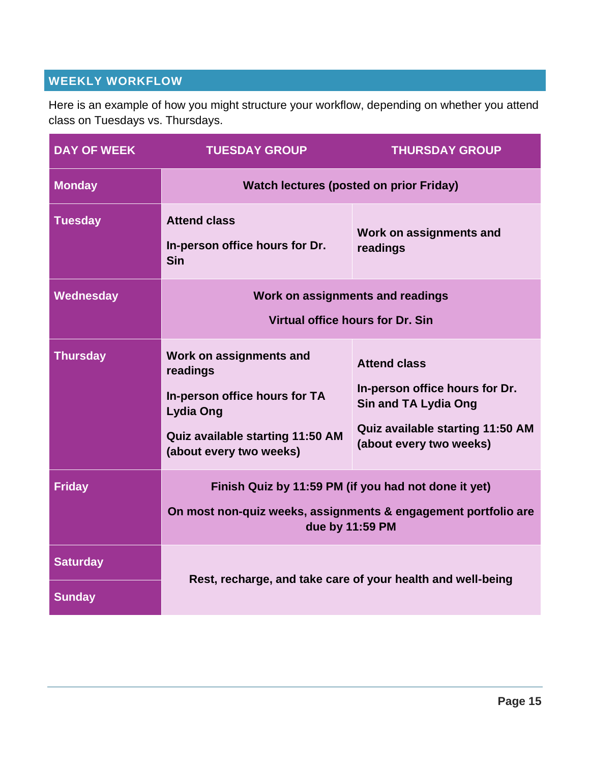# <span id="page-14-0"></span>**WEEKLY WORKFLOW**

Here is an example of how you might structure your workflow, depending on whether you attend class on Tuesdays vs. Thursdays.

| <b>DAY OF WEEK</b>               | <b>TUESDAY GROUP</b>                                                                                                                                    | <b>THURSDAY GROUP</b>                                                                                                                               |  |
|----------------------------------|---------------------------------------------------------------------------------------------------------------------------------------------------------|-----------------------------------------------------------------------------------------------------------------------------------------------------|--|
| <b>Monday</b>                    | <b>Watch lectures (posted on prior Friday)</b>                                                                                                          |                                                                                                                                                     |  |
| <b>Tuesday</b>                   | <b>Attend class</b><br>In-person office hours for Dr.<br><b>Sin</b>                                                                                     | Work on assignments and<br>readings                                                                                                                 |  |
| Wednesday                        | Work on assignments and readings<br>Virtual office hours for Dr. Sin                                                                                    |                                                                                                                                                     |  |
| <b>Thursday</b>                  | Work on assignments and<br>readings<br>In-person office hours for TA<br><b>Lydia Ong</b><br>Quiz available starting 11:50 AM<br>(about every two weeks) | <b>Attend class</b><br>In-person office hours for Dr.<br><b>Sin and TA Lydia Ong</b><br>Quiz available starting 11:50 AM<br>(about every two weeks) |  |
| <b>Friday</b>                    | Finish Quiz by 11:59 PM (if you had not done it yet)<br>On most non-quiz weeks, assignments & engagement portfolio are<br>due by 11:59 PM               |                                                                                                                                                     |  |
| <b>Saturday</b><br><b>Sunday</b> | Rest, recharge, and take care of your health and well-being                                                                                             |                                                                                                                                                     |  |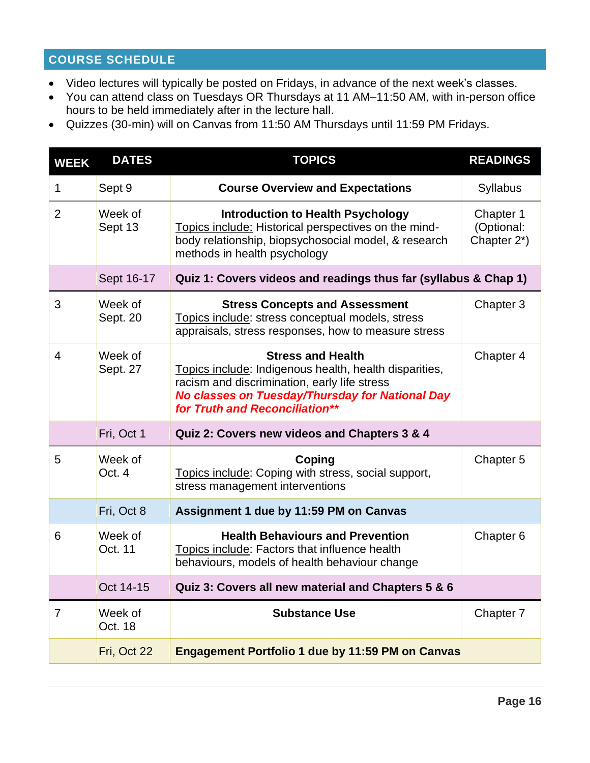# <span id="page-15-0"></span>**COURSE SCHEDULE**

- Video lectures will typically be posted on Fridays, in advance of the next week's classes.
- You can attend class on Tuesdays OR Thursdays at 11 AM–11:50 AM, with in-person office hours to be held immediately after in the lecture hall.
- Quizzes (30-min) will on Canvas from 11:50 AM Thursdays until 11:59 PM Fridays.

| <b>WEEK</b>    | <b>DATES</b>        | <b>TOPICS</b>                                                                                                                                                                                                           | <b>READINGS</b>                        |
|----------------|---------------------|-------------------------------------------------------------------------------------------------------------------------------------------------------------------------------------------------------------------------|----------------------------------------|
| 1              | Sept 9              | <b>Course Overview and Expectations</b>                                                                                                                                                                                 | <b>Syllabus</b>                        |
| $\overline{2}$ | Week of<br>Sept 13  | <b>Introduction to Health Psychology</b><br>Topics include: Historical perspectives on the mind-<br>body relationship, biopsychosocial model, & research<br>methods in health psychology                                | Chapter 1<br>(Optional:<br>Chapter 2*) |
|                | Sept 16-17          | Quiz 1: Covers videos and readings thus far (syllabus & Chap 1)                                                                                                                                                         |                                        |
| 3              | Week of<br>Sept. 20 | <b>Stress Concepts and Assessment</b><br>Topics include: stress conceptual models, stress<br>appraisals, stress responses, how to measure stress                                                                        | Chapter 3                              |
| $\overline{4}$ | Week of<br>Sept. 27 | <b>Stress and Health</b><br>Topics include: Indigenous health, health disparities,<br>racism and discrimination, early life stress<br>No classes on Tuesday/Thursday for National Day<br>for Truth and Reconciliation** | Chapter 4                              |
|                | Fri, Oct 1          | Quiz 2: Covers new videos and Chapters 3 & 4                                                                                                                                                                            |                                        |
| 5              | Week of<br>Oct. 4   | Coping<br>Topics include: Coping with stress, social support,<br>stress management interventions                                                                                                                        | Chapter 5                              |
|                | Fri, Oct 8          | Assignment 1 due by 11:59 PM on Canvas                                                                                                                                                                                  |                                        |
| 6              | Week of<br>Oct. 11  | <b>Health Behaviours and Prevention</b><br>Topics include: Factors that influence health<br>behaviours, models of health behaviour change                                                                               | Chapter <sub>6</sub>                   |
|                | Oct 14-15           | Quiz 3: Covers all new material and Chapters 5 & 6                                                                                                                                                                      |                                        |
| $\overline{7}$ | Week of<br>Oct. 18  | <b>Substance Use</b>                                                                                                                                                                                                    | Chapter 7                              |
|                | Fri, Oct 22         | <b>Engagement Portfolio 1 due by 11:59 PM on Canvas</b>                                                                                                                                                                 |                                        |